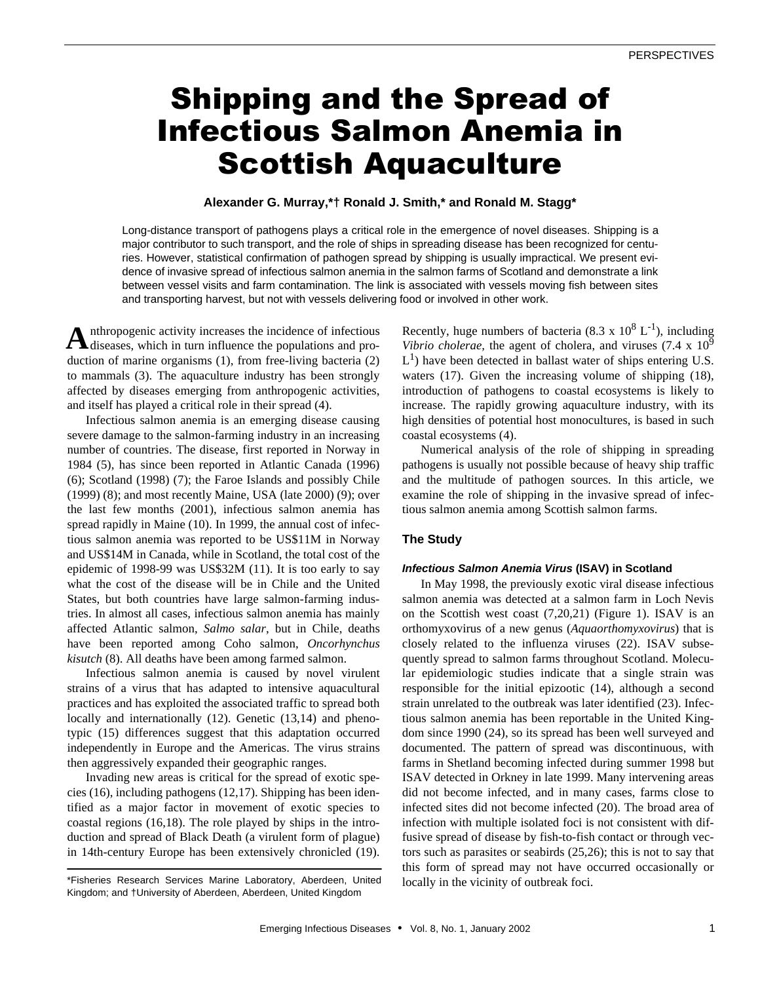# Shipping and the Spread of Infectious Salmon Anemia in Scottish Aquaculture

# **Alexander G. Murray,\*† Ronald J. Smith,\* and Ronald M. Stagg\***

Long-distance transport of pathogens plays a critical role in the emergence of novel diseases. Shipping is a major contributor to such transport, and the role of ships in spreading disease has been recognized for centuries. However, statistical confirmation of pathogen spread by shipping is usually impractical. We present evidence of invasive spread of infectious salmon anemia in the salmon farms of Scotland and demonstrate a link between vessel visits and farm contamination. The link is associated with vessels moving fish between sites and transporting harvest, but not with vessels delivering food or involved in other work.

nthropogenic activity increases the incidence of infectious **A** nthropogenic activity increases the incidence of infectious and production of marine organisms (1), from free-living bacteria (2) to mammals (3). The aquaculture industry has been strongly affected by diseases emerging from anthropogenic activities, and itself has played a critical role in their spread (4).

Infectious salmon anemia is an emerging disease causing severe damage to the salmon-farming industry in an increasing number of countries. The disease, first reported in Norway in 1984 (5), has since been reported in Atlantic Canada (1996) (6); Scotland (1998) (7); the Faroe Islands and possibly Chile (1999) (8); and most recently Maine, USA (late 2000) (9); over the last few months (2001), infectious salmon anemia has spread rapidly in Maine (10). In 1999, the annual cost of infectious salmon anemia was reported to be US\$11M in Norway and US\$14M in Canada, while in Scotland, the total cost of the epidemic of 1998-99 was US\$32M (11). It is too early to say what the cost of the disease will be in Chile and the United States, but both countries have large salmon-farming industries. In almost all cases, infectious salmon anemia has mainly affected Atlantic salmon, *Salmo salar*, but in Chile, deaths have been reported among Coho salmon, *Oncorhynchus kisutch* (8). All deaths have been among farmed salmon.

Infectious salmon anemia is caused by novel virulent strains of a virus that has adapted to intensive aquacultural practices and has exploited the associated traffic to spread both locally and internationally (12). Genetic (13,14) and phenotypic (15) differences suggest that this adaptation occurred independently in Europe and the Americas. The virus strains then aggressively expanded their geographic ranges.

Invading new areas is critical for the spread of exotic species (16), including pathogens (12,17). Shipping has been identified as a major factor in movement of exotic species to coastal regions (16,18). The role played by ships in the introduction and spread of Black Death (a virulent form of plague) in 14th-century Europe has been extensively chronicled (19).

Recently, huge numbers of bacteria (8.3 x  $10^8$  L<sup>-1</sup>), including *Vibrio cholerae,* the agent of cholera, and viruses (7.4 x 10<sup>9</sup>)  $L<sup>1</sup>$ ) have been detected in ballast water of ships entering U.S. waters (17). Given the increasing volume of shipping (18), introduction of pathogens to coastal ecosystems is likely to increase. The rapidly growing aquaculture industry, with its high densities of potential host monocultures, is based in such coastal ecosystems (4).

Numerical analysis of the role of shipping in spreading pathogens is usually not possible because of heavy ship traffic and the multitude of pathogen sources. In this article, we examine the role of shipping in the invasive spread of infectious salmon anemia among Scottish salmon farms.

# **The Study**

#### *Infectious Salmon Anemia Virus* **(ISAV) in Scotland**

In May 1998, the previously exotic viral disease infectious salmon anemia was detected at a salmon farm in Loch Nevis on the Scottish west coast (7,20,21) (Figure 1). ISAV is an orthomyxovirus of a new genus (*Aquaorthomyxovirus*) that is closely related to the influenza viruses (22). ISAV subsequently spread to salmon farms throughout Scotland. Molecular epidemiologic studies indicate that a single strain was responsible for the initial epizootic (14), although a second strain unrelated to the outbreak was later identified (23). Infectious salmon anemia has been reportable in the United Kingdom since 1990 (24), so its spread has been well surveyed and documented. The pattern of spread was discontinuous, with farms in Shetland becoming infected during summer 1998 but ISAV detected in Orkney in late 1999. Many intervening areas did not become infected, and in many cases, farms close to infected sites did not become infected (20). The broad area of infection with multiple isolated foci is not consistent with diffusive spread of disease by fish-to-fish contact or through vectors such as parasites or seabirds (25,26); this is not to say that this form of spread may not have occurred occasionally or locally in the vicinity of outbreak foci.

<sup>\*</sup>Fisheries Research Services Marine Laboratory, Aberdeen, United Kingdom; and †University of Aberdeen, Aberdeen, United Kingdom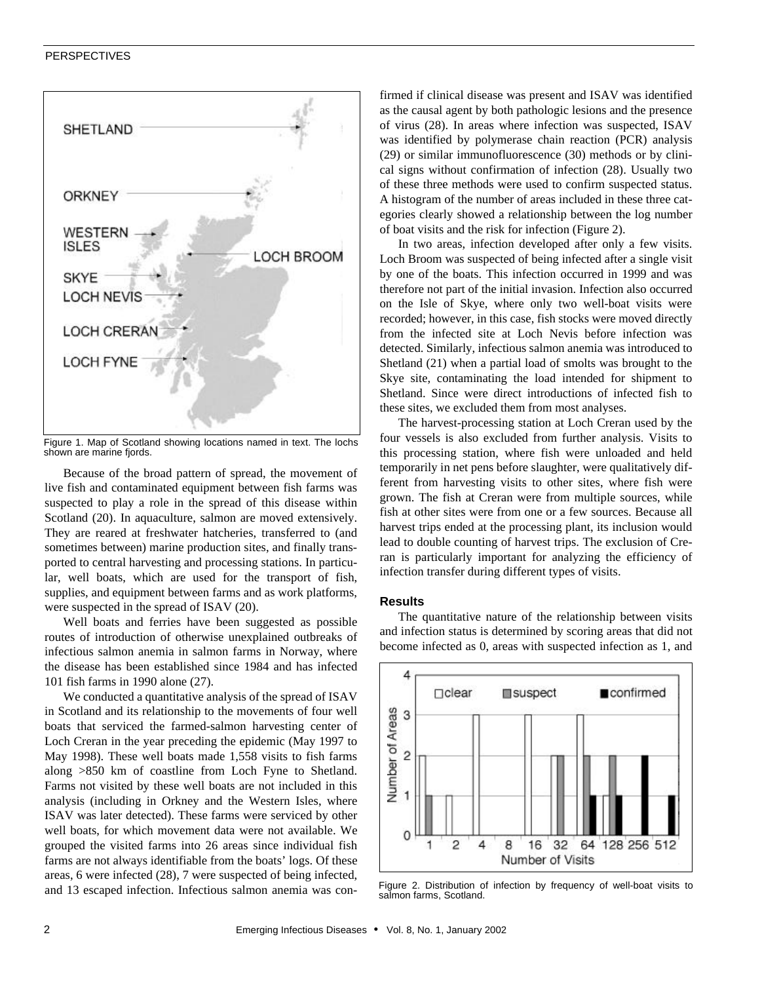

Figure 1. Map of Scotland showing locations named in text. The lochs shown are marine fiords.

Because of the broad pattern of spread, the movement of live fish and contaminated equipment between fish farms was suspected to play a role in the spread of this disease within Scotland (20). In aquaculture, salmon are moved extensively. They are reared at freshwater hatcheries, transferred to (and sometimes between) marine production sites, and finally transported to central harvesting and processing stations. In particular, well boats, which are used for the transport of fish, supplies, and equipment between farms and as work platforms, were suspected in the spread of ISAV (20).

Well boats and ferries have been suggested as possible routes of introduction of otherwise unexplained outbreaks of infectious salmon anemia in salmon farms in Norway, where the disease has been established since 1984 and has infected 101 fish farms in 1990 alone (27).

We conducted a quantitative analysis of the spread of ISAV in Scotland and its relationship to the movements of four well boats that serviced the farmed-salmon harvesting center of Loch Creran in the year preceding the epidemic (May 1997 to May 1998). These well boats made 1,558 visits to fish farms along >850 km of coastline from Loch Fyne to Shetland. Farms not visited by these well boats are not included in this analysis (including in Orkney and the Western Isles, where ISAV was later detected). These farms were serviced by other well boats, for which movement data were not available. We grouped the visited farms into 26 areas since individual fish farms are not always identifiable from the boats' logs. Of these areas, 6 were infected (28), 7 were suspected of being infected, and 13 escaped infection. Infectious salmon anemia was confirmed if clinical disease was present and ISAV was identified as the causal agent by both pathologic lesions and the presence of virus (28). In areas where infection was suspected, ISAV was identified by polymerase chain reaction (PCR) analysis (29) or similar immunofluorescence (30) methods or by clinical signs without confirmation of infection (28). Usually two of these three methods were used to confirm suspected status. A histogram of the number of areas included in these three categories clearly showed a relationship between the log number of boat visits and the risk for infection (Figure 2).

In two areas, infection developed after only a few visits. Loch Broom was suspected of being infected after a single visit by one of the boats. This infection occurred in 1999 and was therefore not part of the initial invasion. Infection also occurred on the Isle of Skye, where only two well-boat visits were recorded; however, in this case, fish stocks were moved directly from the infected site at Loch Nevis before infection was detected. Similarly, infectious salmon anemia was introduced to Shetland (21) when a partial load of smolts was brought to the Skye site, contaminating the load intended for shipment to Shetland. Since were direct introductions of infected fish to these sites, we excluded them from most analyses.

The harvest-processing station at Loch Creran used by the four vessels is also excluded from further analysis. Visits to this processing station, where fish were unloaded and held temporarily in net pens before slaughter, were qualitatively different from harvesting visits to other sites, where fish were grown. The fish at Creran were from multiple sources, while fish at other sites were from one or a few sources. Because all harvest trips ended at the processing plant, its inclusion would lead to double counting of harvest trips. The exclusion of Creran is particularly important for analyzing the efficiency of infection transfer during different types of visits.

### **Results**

The quantitative nature of the relationship between visits and infection status is determined by scoring areas that did not become infected as 0, areas with suspected infection as 1, and



Figure 2. Distribution of infection by frequency of well-boat visits to salmon farms, Scotland.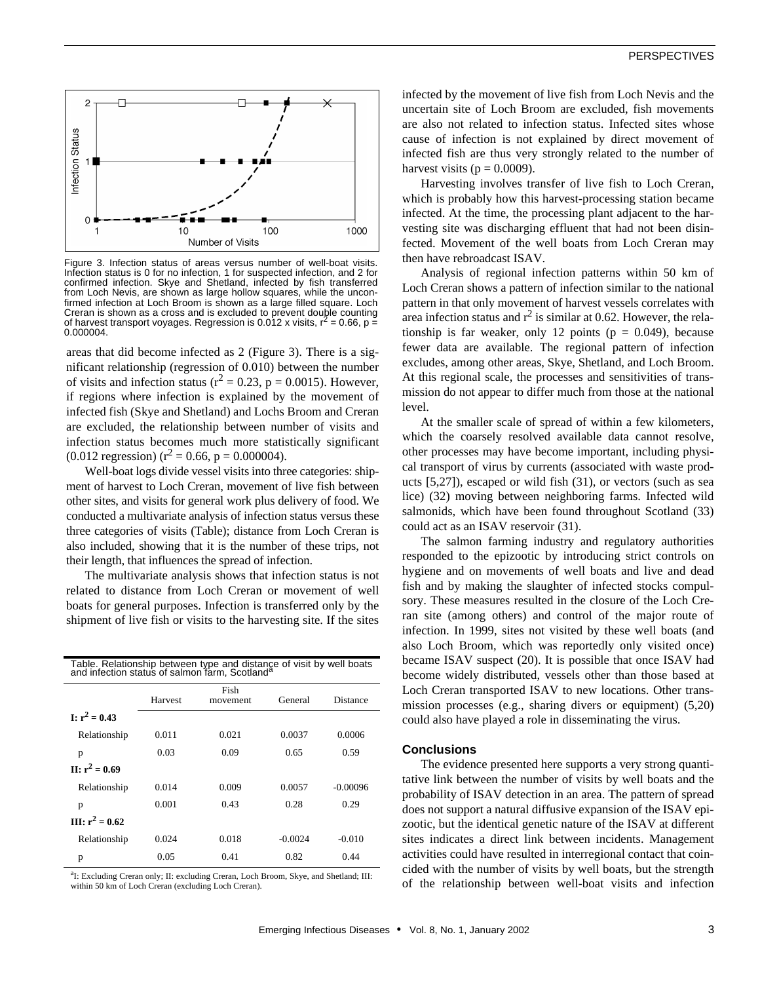

Figure 3. Infection status of areas versus number of well-boat visits. Infection status is 0 for no infection, 1 for suspected infection, and 2 for confirmed infection. Skye and Shetland, infected by fish transferred from Loch Nevis, are shown as large hollow squares, while the unconfirmed infection at Loch Broom is shown as a large filled square. Loch Creran is shown as a cross and is excluded to prevent double counting of harvest transport voyages. Regression is  $0.012$  x visits,  $r^2 = 0.66$ ,  $p =$ 0.000004.

areas that did become infected as 2 (Figure 3). There is a significant relationship (regression of 0.010) between the number of visits and infection status ( $r^2 = 0.23$ , p = 0.0015). However, if regions where infection is explained by the movement of infected fish (Skye and Shetland) and Lochs Broom and Creran are excluded, the relationship between number of visits and infection status becomes much more statistically significant  $(0.012 \text{ regression}) (r^2 = 0.66, p = 0.000004).$ 

Well-boat logs divide vessel visits into three categories: shipment of harvest to Loch Creran, movement of live fish between other sites, and visits for general work plus delivery of food. We conducted a multivariate analysis of infection status versus these three categories of visits (Table); distance from Loch Creran is also included, showing that it is the number of these trips, not their length, that influences the spread of infection.

The multivariate analysis shows that infection status is not related to distance from Loch Creran or movement of well boats for general purposes. Infection is transferred only by the shipment of live fish or visits to the harvesting site. If the sites

| Table. Relationship between type and distance of visit by well boats and infection status of salmon farm, Scotland <sup>a</sup> |         |                  |           |            |
|---------------------------------------------------------------------------------------------------------------------------------|---------|------------------|-----------|------------|
|                                                                                                                                 | Harvest | Fish<br>movement | General   | Distance   |
| $I: r^2 = 0.43$                                                                                                                 |         |                  |           |            |
| Relationship                                                                                                                    | 0.011   | 0.021            | 0.0037    | 0.0006     |
| p                                                                                                                               | 0.03    | 0.09             | 0.65      | 0.59       |
| $\Pi$ $\cdot$ $r^2$ = 0.69                                                                                                      |         |                  |           |            |
| Relationship                                                                                                                    | 0.014   | 0.009            | 0.0057    | $-0.00096$ |
| p                                                                                                                               | 0.001   | 0.43             | 0.28      | 0.29       |
| $\Pi$ : $r^2 = 0.62$                                                                                                            |         |                  |           |            |
| Relationship                                                                                                                    | 0.024   | 0.018            | $-0.0024$ | $-0.010$   |
| p                                                                                                                               | 0.05    | 0.41             | 0.82      | 0.44       |

<sup>a</sup>I: Excluding Creran only; II: excluding Creran, Loch Broom, Skye, and Shetland; III: within 50 km of Loch Creran (excluding Loch Creran).

infected by the movement of live fish from Loch Nevis and the uncertain site of Loch Broom are excluded, fish movements are also not related to infection status. Infected sites whose cause of infection is not explained by direct movement of infected fish are thus very strongly related to the number of harvest visits ( $p = 0.0009$ ).

Harvesting involves transfer of live fish to Loch Creran, which is probably how this harvest-processing station became infected. At the time, the processing plant adjacent to the harvesting site was discharging effluent that had not been disinfected. Movement of the well boats from Loch Creran may then have rebroadcast ISAV.

Analysis of regional infection patterns within 50 km of Loch Creran shows a pattern of infection similar to the national pattern in that only movement of harvest vessels correlates with area infection status and  $r^2$  is similar at 0.62. However, the relationship is far weaker, only 12 points ( $p = 0.049$ ), because fewer data are available. The regional pattern of infection excludes, among other areas, Skye, Shetland, and Loch Broom. At this regional scale, the processes and sensitivities of transmission do not appear to differ much from those at the national level.

At the smaller scale of spread of within a few kilometers, which the coarsely resolved available data cannot resolve, other processes may have become important, including physical transport of virus by currents (associated with waste products [5,27]), escaped or wild fish (31), or vectors (such as sea lice) (32) moving between neighboring farms. Infected wild salmonids, which have been found throughout Scotland (33) could act as an ISAV reservoir (31).

The salmon farming industry and regulatory authorities responded to the epizootic by introducing strict controls on hygiene and on movements of well boats and live and dead fish and by making the slaughter of infected stocks compulsory. These measures resulted in the closure of the Loch Creran site (among others) and control of the major route of infection. In 1999, sites not visited by these well boats (and also Loch Broom, which was reportedly only visited once) became ISAV suspect (20). It is possible that once ISAV had become widely distributed, vessels other than those based at Loch Creran transported ISAV to new locations. Other transmission processes (e.g., sharing divers or equipment) (5,20) could also have played a role in disseminating the virus.

#### **Conclusions**

The evidence presented here supports a very strong quantitative link between the number of visits by well boats and the probability of ISAV detection in an area. The pattern of spread does not support a natural diffusive expansion of the ISAV epizootic, but the identical genetic nature of the ISAV at different sites indicates a direct link between incidents. Management activities could have resulted in interregional contact that coincided with the number of visits by well boats, but the strength of the relationship between well-boat visits and infection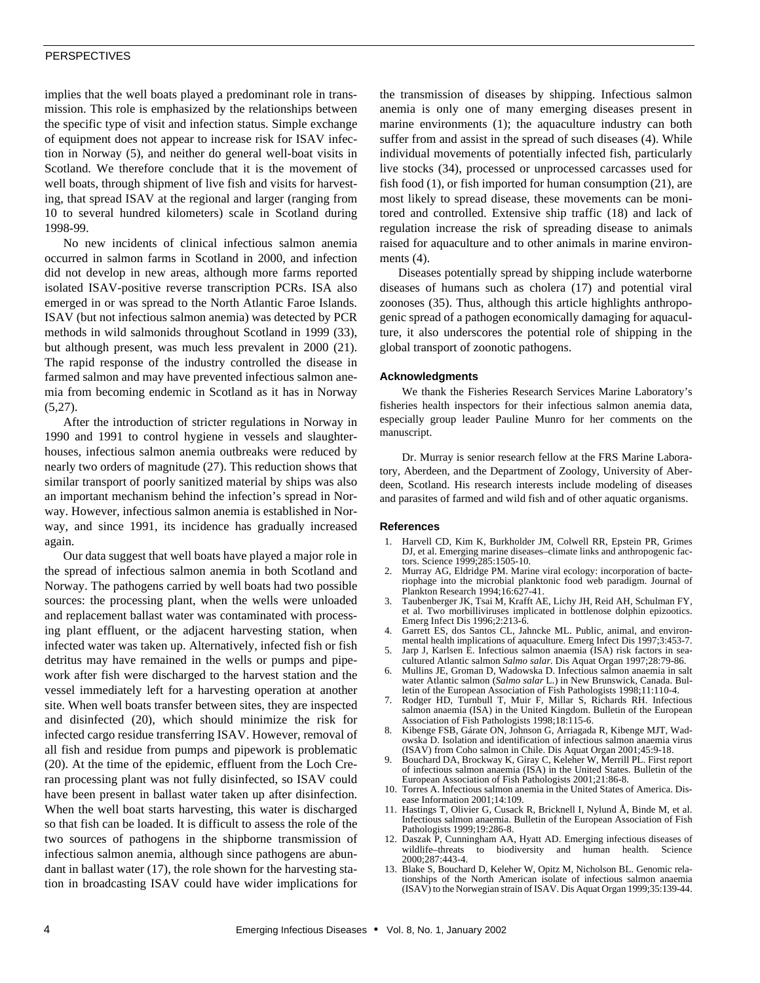# PERSPECTIVES

implies that the well boats played a predominant role in transmission. This role is emphasized by the relationships between the specific type of visit and infection status. Simple exchange of equipment does not appear to increase risk for ISAV infection in Norway (5), and neither do general well-boat visits in Scotland. We therefore conclude that it is the movement of well boats, through shipment of live fish and visits for harvesting, that spread ISAV at the regional and larger (ranging from 10 to several hundred kilometers) scale in Scotland during 1998-99.

No new incidents of clinical infectious salmon anemia occurred in salmon farms in Scotland in 2000, and infection did not develop in new areas, although more farms reported isolated ISAV-positive reverse transcription PCRs. ISA also emerged in or was spread to the North Atlantic Faroe Islands. ISAV (but not infectious salmon anemia) was detected by PCR methods in wild salmonids throughout Scotland in 1999 (33), but although present, was much less prevalent in 2000 (21). The rapid response of the industry controlled the disease in farmed salmon and may have prevented infectious salmon anemia from becoming endemic in Scotland as it has in Norway  $(5,27)$ .

After the introduction of stricter regulations in Norway in 1990 and 1991 to control hygiene in vessels and slaughterhouses, infectious salmon anemia outbreaks were reduced by nearly two orders of magnitude (27). This reduction shows that similar transport of poorly sanitized material by ships was also an important mechanism behind the infection's spread in Norway. However, infectious salmon anemia is established in Norway, and since 1991, its incidence has gradually increased again.

Our data suggest that well boats have played a major role in the spread of infectious salmon anemia in both Scotland and Norway. The pathogens carried by well boats had two possible sources: the processing plant, when the wells were unloaded and replacement ballast water was contaminated with processing plant effluent, or the adjacent harvesting station, when infected water was taken up. Alternatively, infected fish or fish detritus may have remained in the wells or pumps and pipework after fish were discharged to the harvest station and the vessel immediately left for a harvesting operation at another site. When well boats transfer between sites, they are inspected and disinfected (20), which should minimize the risk for infected cargo residue transferring ISAV. However, removal of all fish and residue from pumps and pipework is problematic (20). At the time of the epidemic, effluent from the Loch Creran processing plant was not fully disinfected, so ISAV could have been present in ballast water taken up after disinfection. When the well boat starts harvesting, this water is discharged so that fish can be loaded. It is difficult to assess the role of the two sources of pathogens in the shipborne transmission of infectious salmon anemia, although since pathogens are abundant in ballast water (17), the role shown for the harvesting station in broadcasting ISAV could have wider implications for the transmission of diseases by shipping. Infectious salmon anemia is only one of many emerging diseases present in marine environments (1); the aquaculture industry can both suffer from and assist in the spread of such diseases (4). While individual movements of potentially infected fish, particularly live stocks (34), processed or unprocessed carcasses used for fish food (1), or fish imported for human consumption (21), are most likely to spread disease, these movements can be monitored and controlled. Extensive ship traffic (18) and lack of regulation increase the risk of spreading disease to animals raised for aquaculture and to other animals in marine environments  $(4)$ .

Diseases potentially spread by shipping include waterborne diseases of humans such as cholera (17) and potential viral zoonoses (35). Thus, although this article highlights anthropogenic spread of a pathogen economically damaging for aquaculture, it also underscores the potential role of shipping in the global transport of zoonotic pathogens.

### **Acknowledgments**

We thank the Fisheries Research Services Marine Laboratory's fisheries health inspectors for their infectious salmon anemia data, especially group leader Pauline Munro for her comments on the manuscript.

Dr. Murray is senior research fellow at the FRS Marine Laboratory, Aberdeen, and the Department of Zoology, University of Aberdeen, Scotland. His research interests include modeling of diseases and parasites of farmed and wild fish and of other aquatic organisms.

#### **References**

- 1. Harvell CD, Kim K, Burkholder JM, Colwell RR, Epstein PR, Grimes DJ, et al. Emerging marine diseases–climate links and anthropogenic factors. Science 1999;285:1505-10.
- 2. Murray AG, Eldridge PM. Marine viral ecology: incorporation of bacteriophage into the microbial planktonic food web paradigm. Journal of Plankton Research 1994;16:627-41.
- 3. Taubenberger JK, Tsai M, Krafft AE, Lichy JH, Reid AH, Schulman FY, et al. Two morbilliviruses implicated in bottlenose dolphin epizootics. Emerg Infect Dis 1996;2:213-6.
- 4. Garrett ES, dos Santos CL, Jahncke ML. Public, animal, and environmental health implications of aquaculture. Emerg Infect Dis 1997;3:453-7.
- Jarp J, Karlsen E. Infectious salmon anaemia (ISA) risk factors in seacultured Atlantic salmon *Salmo salar*. Dis Aquat Organ 1997;28:79-86.
- 6. Mullins JE, Groman D, Wadowska D. Infectious salmon anaemia in salt water Atlantic salmon (*Salmo salar* L.) in New Brunswick, Canada. Bulletin of the European Association of Fish Pathologists 1998;11:110-4.
- Rodger HD, Turnbull T, Muir F, Millar S, Richards RH. Infectious salmon anaemia (ISA) in the United Kingdom. Bulletin of the European Association of Fish Pathologists 1998;18:115-6.
- 8. Kibenge FSB, Gárate ON, Johnson G, Arriagada R, Kibenge MJT, Wadowska D. Isolation and identification of infectious salmon anaemia virus (ISAV) from Coho salmon in Chile. Dis Aquat Organ 2001;45:9-18.
- 9. Bouchard DA, Brockway K, Giray C, Keleher W, Merrill PL. First report of infectious salmon anaemia (ISA) in the United States. Bulletin of the European Association of Fish Pathologists 2001;21:86-8.
- 10. Torres A. Infectious salmon anemia in the United States of America. Disease Information 2001;14:109.
- 11. Hastings T, Olivier G, Cusack R, Bricknell I, Nylund Å, Binde M, et al. Infectious salmon anaemia. Bulletin of the European Association of Fish Pathologists 1999;19:286-8.
- 12. Daszak P, Cunningham AA, Hyatt AD. Emerging infectious diseases of wildlife–threats to biodiversity and human health. Science 2000;287:443-4.
- 13. Blake S, Bouchard D, Keleher W, Opitz M, Nicholson BL. Genomic relationships of the North American isolate of infectious salmon anaemia (ISAV) to the Norwegian strain of ISAV. Dis Aquat Organ 1999;35:139-44.